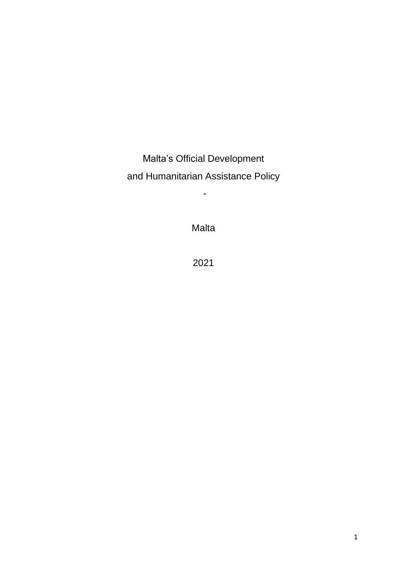Malta's Official Development and Humanitarian Assistance Policy

-

Malta

2021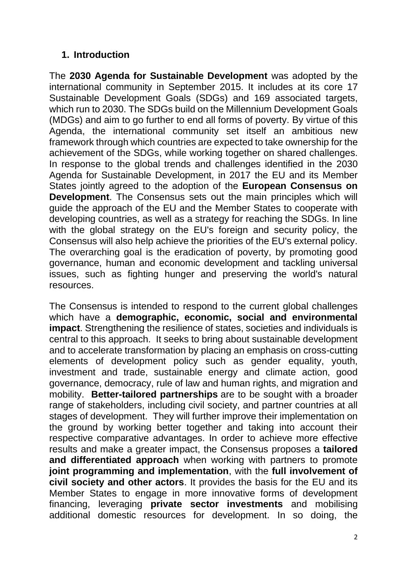### **1. Introduction**

The **2030 Agenda for Sustainable Development** was adopted by the international community in September 2015. It includes at its core 17 Sustainable Development Goals (SDGs) and 169 associated targets, which run to 2030. The SDGs build on the Millennium Development Goals (MDGs) and aim to go further to end all forms of poverty. By virtue of this Agenda, the international community set itself an ambitious new framework through which countries are expected to take ownership for the achievement of the SDGs, while working together on shared challenges. In response to the global trends and challenges identified in the 2030 Agenda for Sustainable Development, in 2017 the EU and its Member States jointly agreed to the adoption of the **European Consensus on Development**. The Consensus sets out the main principles which will guide the approach of the EU and the Member States to cooperate with developing countries, as well as a strategy for reaching the SDGs. In line with the global strategy on the EU's foreign and security policy, the Consensus will also help achieve the priorities of the EU's external policy. The overarching goal is the eradication of poverty, by promoting good governance, human and economic development and tackling universal issues, such as fighting hunger and preserving the world's natural resources.

The Consensus is intended to respond to the current global challenges which have a **demographic, economic, social and environmental impact**. Strengthening the resilience of states, societies and individuals is central to this approach. It seeks to bring about sustainable development and to accelerate transformation by placing an emphasis on cross-cutting elements of development policy such as gender equality, youth, investment and trade, sustainable energy and climate action, good governance, democracy, rule of law and human rights, and migration and mobility. **Better-tailored partnerships** are to be sought with a broader range of stakeholders, including civil society, and partner countries at all stages of development. They will further improve their implementation on the ground by working better together and taking into account their respective comparative advantages. In order to achieve more effective results and make a greater impact, the Consensus proposes a **tailored and differentiated approach** when working with partners to promote **joint programming and implementation**, with the **full involvement of civil society and other actors**. It provides the basis for the EU and its Member States to engage in more innovative forms of development financing, leveraging **private sector investments** and mobilising additional domestic resources for development. In so doing, the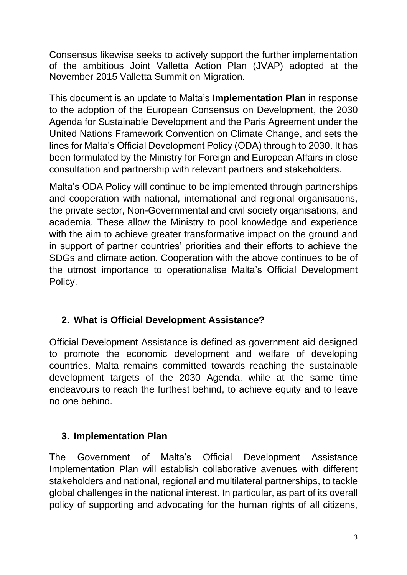Consensus likewise seeks to actively support the further implementation of the ambitious Joint Valletta Action Plan (JVAP) adopted at the November 2015 Valletta Summit on Migration.

This document is an update to Malta's **Implementation Plan** in response to the adoption of the European Consensus on Development, the 2030 Agenda for Sustainable Development and the Paris Agreement under the United Nations Framework Convention on Climate Change, and sets the lines for Malta's Official Development Policy (ODA) through to 2030. It has been formulated by the Ministry for Foreign and European Affairs in close consultation and partnership with relevant partners and stakeholders.

Malta's ODA Policy will continue to be implemented through partnerships and cooperation with national, international and regional organisations, the private sector, Non-Governmental and civil society organisations, and academia. These allow the Ministry to pool knowledge and experience with the aim to achieve greater transformative impact on the ground and in support of partner countries' priorities and their efforts to achieve the SDGs and climate action. Cooperation with the above continues to be of the utmost importance to operationalise Malta's Official Development Policy.

# **2. What is Official Development Assistance?**

Official Development Assistance is defined as government aid designed to promote the economic development and welfare of developing countries. Malta remains committed towards reaching the sustainable development targets of the 2030 Agenda, while at the same time endeavours to reach the furthest behind, to achieve equity and to leave no one behind.

# **3. Implementation Plan**

The Government of Malta's Official Development Assistance Implementation Plan will establish collaborative avenues with different stakeholders and national, regional and multilateral partnerships, to tackle global challenges in the national interest. In particular, as part of its overall policy of supporting and advocating for the human rights of all citizens,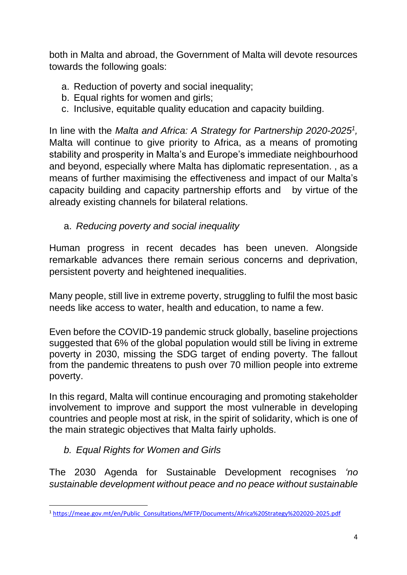both in Malta and abroad, the Government of Malta will devote resources towards the following goals:

- a. Reduction of poverty and social inequality;
- b. Equal rights for women and girls;
- c. Inclusive, equitable quality education and capacity building.

In line with the *Malta and Africa: A Strategy for Partnership 2020-2025<sup>1</sup> ,* Malta will continue to give priority to Africa, as a means of promoting stability and prosperity in Malta's and Europe's immediate neighbourhood and beyond, especially where Malta has diplomatic representation. , as a means of further maximising the effectiveness and impact of our Malta's capacity building and capacity partnership efforts and by virtue of the already existing channels for bilateral relations.

a. *Reducing poverty and social inequality* 

Human progress in recent decades has been uneven. Alongside remarkable advances there remain serious concerns and deprivation, persistent poverty and heightened inequalities.

Many people, still live in extreme poverty, struggling to fulfil the most basic needs like access to water, health and education, to name a few.

Even before the COVID-19 pandemic struck globally, baseline projections suggested that 6% of the global population would still be living in extreme poverty in 2030, missing the SDG target of ending poverty. The fallout from the pandemic threatens to [push over 70 million people](https://www.un.org/sustainabledevelopment/wp-content/uploads/2019/07/E_Infographic_01.pdf) into extreme poverty.

In this regard, Malta will continue encouraging and promoting stakeholder involvement to improve and support the most vulnerable in developing countries and people most at risk, in the spirit of solidarity, which is one of the main strategic objectives that Malta fairly upholds.

*b. Equal Rights for Women and Girls* 

The 2030 Agenda for Sustainable Development recognises *'no sustainable development without peace and no peace without sustainable* 

<sup>1</sup> [https://meae.gov.mt/en/Public\\_Consultations/MFTP/Documents/Africa%20Strategy%202020-2025.pdf](https://meae.gov.mt/en/Public_Consultations/MFTP/Documents/Africa%20Strategy%202020-2025.pdf)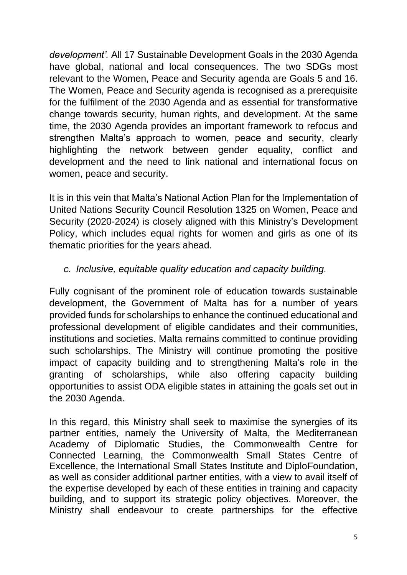*development'.* All 17 Sustainable Development Goals in the 2030 Agenda have global, national and local consequences. The two SDGs most relevant to the Women, Peace and Security agenda are Goals 5 and 16. The Women, Peace and Security agenda is recognised as a prerequisite for the fulfilment of the 2030 Agenda and as essential for transformative change towards security, human rights, and development. At the same time, the 2030 Agenda provides an important framework to refocus and strengthen Malta's approach to women, peace and security, clearly highlighting the network between gender equality, conflict and development and the need to link national and international focus on women, peace and security.

It is in this vein that Malta's National Action Plan for the Implementation of United Nations Security Council Resolution 1325 on Women, Peace and Security (2020-2024) is closely aligned with this Ministry's Development Policy, which includes equal rights for women and girls as one of its thematic priorities for the years ahead.

### *c. Inclusive, equitable quality education and capacity building.*

Fully cognisant of the prominent role of education towards sustainable development, the Government of Malta has for a number of years provided funds for scholarships to enhance the continued educational and professional development of eligible candidates and their communities, institutions and societies. Malta remains committed to continue providing such scholarships. The Ministry will continue promoting the positive impact of capacity building and to strengthening Malta's role in the granting of scholarships, while also offering capacity building opportunities to assist ODA eligible states in attaining the goals set out in the 2030 Agenda.

In this regard, this Ministry shall seek to maximise the synergies of its partner entities, namely the University of Malta, the Mediterranean Academy of Diplomatic Studies, the Commonwealth Centre for Connected Learning, the Commonwealth Small States Centre of Excellence, the International Small States Institute and DiploFoundation, as well as consider additional partner entities, with a view to avail itself of the expertise developed by each of these entities in training and capacity building, and to support its strategic policy objectives. Moreover, the Ministry shall endeavour to create partnerships for the effective